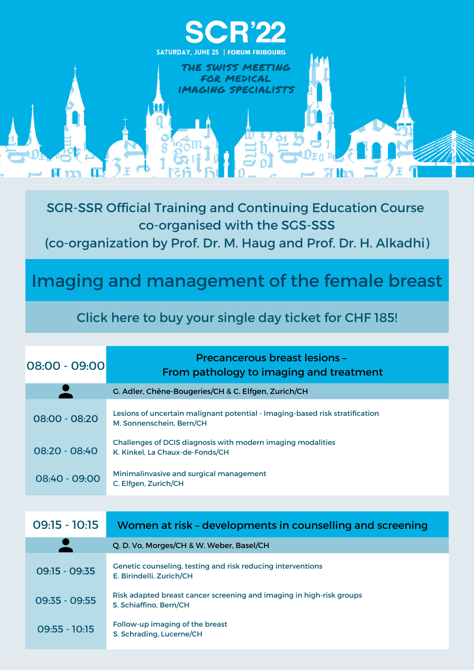[Precancerous](https://congress.sgr-ssr.ch/registration/) breast lesions –

| $08:00 - 09:00$ | PIECANCEIUUS DIEASLIESIUNS -<br>From pathology to imaging and treatment                                  |
|-----------------|----------------------------------------------------------------------------------------------------------|
|                 | G. Adler, Chêne-Bougeries/CH & C. Elfgen, Zurich/CH                                                      |
| 08:00 - 08:20   | Lesions of uncertain malignant potential - Imaging-based risk stratification<br>M. Sonnenschein, Bern/CH |
| 08:20 - 08:40   | Challenges of DCIS diagnosis with modern imaging modalities<br>K. Kinkel, La Chaux-de-Fonds/CH           |
| 08:40 - 09:00   | Minimalinvasive and surgical management<br>C. Elfgen, Zurich/CH                                          |



| $09:15 - 10:15$ | Women at risk - developments in counselling and screening                                      |
|-----------------|------------------------------------------------------------------------------------------------|
|                 | Q. D. Vo, Morges/CH & W. Weber, Basel/CH                                                       |
| $09:15 - 09:35$ | Genetic counseling, testing and risk reducing interventions<br>E. Birindelli, Zurich/CH        |
| 09:35 - 09:55   | Risk adapted breast cancer screening and imaging in high-risk groups<br>S. Schiaffino, Bern/CH |
| $09:55 - 10:15$ | Follow-up imaging of the breast<br>S. Schrading, Lucerne/CH                                    |

SGR-SSR Official Training and Continuing Education Course co-organised with the SGS-SSS (co-organization by Prof. Dr. M. Haug and Prof. Dr. H. Alkadhi)

Imaging and management of the female breast

Click here to buy your single day ticket for CHF 185!